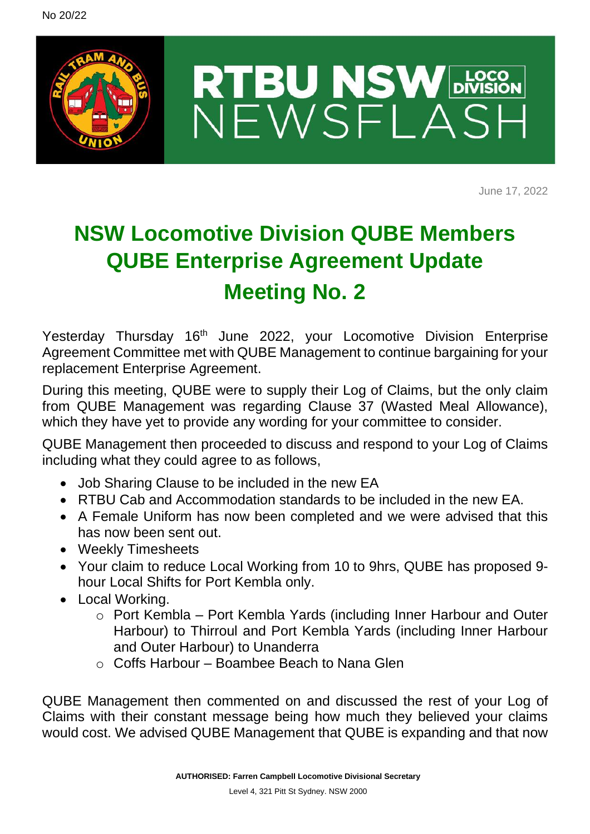

June 17, 2022

## **NSW Locomotive Division QUBE Members QUBE Enterprise Agreement Update Meeting No. 2**

Yesterday Thursday 16<sup>th</sup> June 2022, your Locomotive Division Enterprise Agreement Committee met with QUBE Management to continue bargaining for your replacement Enterprise Agreement.

During this meeting, QUBE were to supply their Log of Claims, but the only claim from QUBE Management was regarding Clause 37 (Wasted Meal Allowance), which they have yet to provide any wording for your committee to consider.

QUBE Management then proceeded to discuss and respond to your Log of Claims including what they could agree to as follows,

- Job Sharing Clause to be included in the new EA
- RTBU Cab and Accommodation standards to be included in the new EA.
- A Female Uniform has now been completed and we were advised that this has now been sent out.
- Weekly Timesheets
- Your claim to reduce Local Working from 10 to 9hrs, QUBE has proposed 9 hour Local Shifts for Port Kembla only.
- Local Working.
	- o Port Kembla Port Kembla Yards (including Inner Harbour and Outer Harbour) to Thirroul and Port Kembla Yards (including Inner Harbour and Outer Harbour) to Unanderra
	- $\circ$  Coffs Harbour Boambee Beach to Nana Glen

QUBE Management then commented on and discussed the rest of your Log of Claims with their constant message being how much they believed your claims would cost. We advised QUBE Management that QUBE is expanding and that now